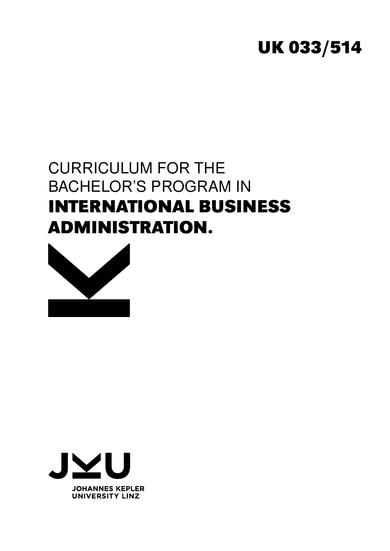# **UK 033/514**

# CURRICULUM FOR THE BACHELOR'S PROGRAM IN **INTERNATIONAL BUSINESS ADMINISTRATION.**



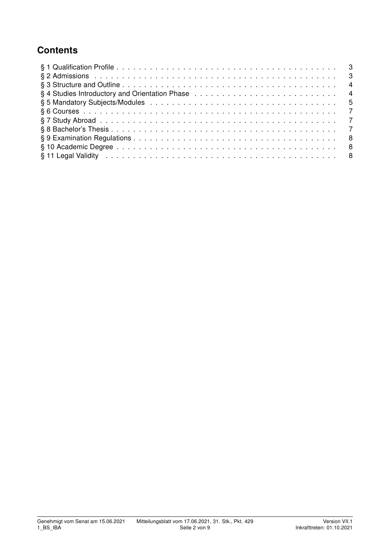## **Contents**

| §4 Studies Introductory and Orientation Phase enterprised by example the set of 4                                                                                                                                             |  |
|-------------------------------------------------------------------------------------------------------------------------------------------------------------------------------------------------------------------------------|--|
|                                                                                                                                                                                                                               |  |
|                                                                                                                                                                                                                               |  |
|                                                                                                                                                                                                                               |  |
|                                                                                                                                                                                                                               |  |
|                                                                                                                                                                                                                               |  |
|                                                                                                                                                                                                                               |  |
| § 11 Legal Validity in the contract of the contract of the contract of the contract of the contract of the contract of the set of the set of the set of the set of the set of the set of the set of the set of the set of the |  |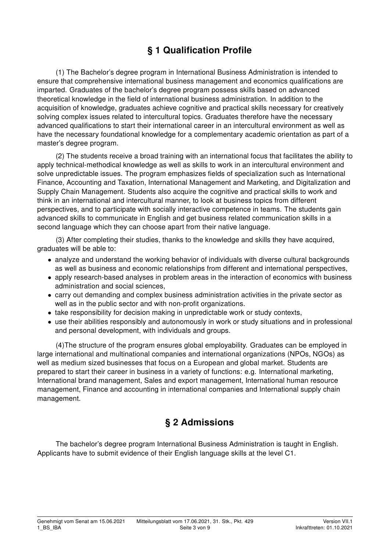# § 1 Qualification Profile

(1) The Bachelor's degree program in International Business Administration is intended to ensure that comprehensive international business management and economics qualifications are imparted. Graduates of the bachelor's degree program possess skills based on advanced theoretical knowledge in the field of international business administration. In addition to the acquisition of knowledge, graduates achieve cognitive and practical skills necessary for creatively solving complex issues related to intercultural topics. Graduates therefore have the necessary advanced qualifications to start their international career in an intercultural environment as well as have the necessary foundational knowledge for a complementary academic orientation as part of a master's degree program.

(2) The students receive a broad training with an international focus that facilitates the ability to apply technical-methodical knowledge as well as skills to work in an intercultural environment and solve unpredictable issues. The program emphasizes fields of specialization such as International Finance, Accounting and Taxation, International Management and Marketing, and Digitalization and Supply Chain Management. Students also acquire the cognitive and practical skills to work and think in an international and intercultural manner, to look at business topics from different perspectives, and to participate with socially interactive competence in teams. The students gain advanced skills to communicate in English and get business related communication skills in a second language which they can choose apart from their native language.

(3) After completing their studies, thanks to the knowledge and skills they have acquired, graduates will be able to:

- analyze and understand the working behavior of individuals with diverse cultural backgrounds as well as business and economic relationships from different and international perspectives,
- apply research-based analyses in problem areas in the interaction of economics with business administration and social sciences,
- carry out demanding and complex business administration activities in the private sector as well as in the public sector and with non-profit organizations.
- take responsibility for decision making in unpredictable work or study contexts,
- use their abilities responsibly and autonomously in work or study situations and in professional and personal development, with individuals and groups.

(4)The structure of the program ensures global employability. Graduates can be employed in large international and multinational companies and international organizations (NPOs, NGOs) as well as medium sized businesses that focus on a European and global market. Students are prepared to start their career in business in a variety of functions: e.g. International marketing, International brand management, Sales and export management, International human resource management, Finance and accounting in international companies and International supply chain management.

## § 2 Admissions

The bachelor's degree program International Business Administration is taught in English. Applicants have to submit evidence of their English language skills at the level C1.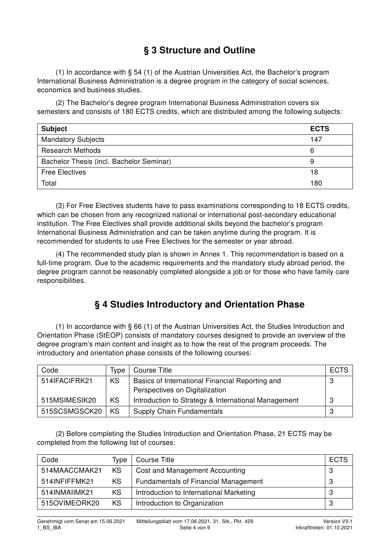## § 3 Structure and Outline

(1) In accordance with § 54 (1) of the Austrian Universities Act, the Bachelor's program International Business Administration is a degree program in the category of social sciences, economics and business studies.

(2) The Bachelor's degree program International Business Administration covers six semesters and consists of 180 ECTS credits, which are distributed among the following subjects:

| <b>Subject</b>                           | <b>ECTS</b> |
|------------------------------------------|-------------|
| <b>Mandatory Subjects</b>                | 147         |
| <b>Research Methods</b>                  |             |
| Bachelor Thesis (incl. Bachelor Seminar) |             |
| <b>Free Electives</b>                    |             |
| Total                                    | 180         |

(3) For Free Electives students have to pass examinations corresponding to 18 ECTS credits, which can be chosen from any recognized national or international post-secondary educational institution. The Free Electives shall provide additional skills beyond the bachelor's program International Business Administration and can be taken anytime during the program. It is recommended for students to use Free Electives for the semester or year abroad.

(4) The recommended study plan is shown in Annex 1. This recommendation is based on a full-time program. Due to the academic requirements and the mandatory study abroad period, the degree program cannot be reasonably completed alongside a job or for those who have family care responsibilities.

## § 4 Studies Introductory and Orientation Phase

(1) In accordance with § 66 (1) of the Austrian Universities Act, the Studies Introduction and Orientation Phase (StEOP) consists of mandatory courses designed to provide an overview of the degree program's main content and insight as to how the rest of the program proceeds. The introductory and orientation phase consists of the following courses:

| Code          | Tvpe | Course Title                                                                      | <b>ECTS</b> |
|---------------|------|-----------------------------------------------------------------------------------|-------------|
| 514IFACIFRK21 | KS   | Basics of International Financial Reporting and<br>Perspectives on Digitalization | 3           |
| 515MSIMESIK20 | KS   | Introduction to Strategy & International Management                               | 3           |
| 515SCSMGSCK20 | KS   | <b>Supply Chain Fundamentals</b>                                                  |             |

(2) Before completing the Studies Introduction and Orientation Phase, 21 ECTS may be completed from the following list of courses:

| Code          | Type | Course Title                                | <b>ECTS</b> |
|---------------|------|---------------------------------------------|-------------|
| 514MAACCMAK21 | KS   | Cost and Management Accounting              | 3           |
| 514INFIFFMK21 | KS   | <b>Fundamentals of Financial Management</b> | 3           |
| 514INMAIIMK21 | KS   | Introduction to International Marketing     | 3           |
| 515OVIMEORK20 | KS   | Introduction to Organization                | 3           |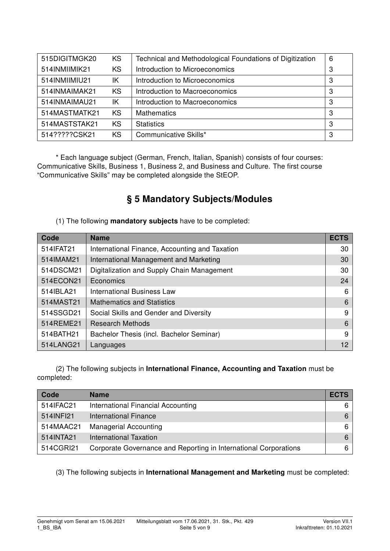| 515DIGITMGK20 | <b>KS</b> | Technical and Methodological Foundations of Digitization | 6 |
|---------------|-----------|----------------------------------------------------------|---|
| 514INMIIMIK21 | <b>KS</b> | Introduction to Microeconomics                           | 3 |
| 514INMIIMIU21 | ΙK        | Introduction to Microeconomics                           | 3 |
| 514INMAIMAK21 | <b>KS</b> | Introduction to Macroeconomics                           | 3 |
| 514INMAIMAU21 | ΙK        | Introduction to Macroeconomics                           | 3 |
| 514MASTMATK21 | <b>KS</b> | <b>Mathematics</b>                                       | 3 |
| 514MASTSTAK21 | <b>KS</b> | <b>Statistics</b>                                        | 3 |
| 514?????CSK21 | <b>KS</b> | Communicative Skills*                                    | 3 |

\* Each language subject (German, French, Italian, Spanish) consists of four courses: Communicative Skills, Business 1, Business 2, and Business and Culture. The first course "Communicative Skills" may be completed alongside the StEOP.

# § 5 Mandatory Subjects/Modules

(1) The following mandatory subjects have to be completed:

| Code      | <b>Name</b>                                    | <b>ECTS</b> |
|-----------|------------------------------------------------|-------------|
| 514IFAT21 | International Finance, Accounting and Taxation | 30          |
| 514IMAM21 | International Management and Marketing         | 30          |
| 514DSCM21 | Digitalization and Supply Chain Management     | 30          |
| 514ECON21 | Economics                                      | 24          |
| 514IBLA21 | International Business Law                     | 6           |
| 514MAST21 | <b>Mathematics and Statistics</b>              | 6           |
| 514SSGD21 | Social Skills and Gender and Diversity         | 9           |
| 514REME21 | <b>Research Methods</b>                        | 6           |
| 514BATH21 | Bachelor Thesis (incl. Bachelor Seminar)       | 9           |
| 514LANG21 | Languages                                      | 12          |

(2) The following subjects in International Finance, Accounting and Taxation must be completed:

| Code      | <b>Name</b>                                                      | <b>ECTS</b> |
|-----------|------------------------------------------------------------------|-------------|
| 514IFAC21 | International Financial Accounting                               | 6           |
| 514INFI21 | <b>International Finance</b>                                     | 6           |
| 514MAAC21 | <b>Managerial Accounting</b>                                     | 6           |
| 514INTA21 | International Taxation                                           | 6           |
| 514CGRI21 | Corporate Governance and Reporting in International Corporations | 6           |

(3) The following subjects in International Management and Marketing must be completed: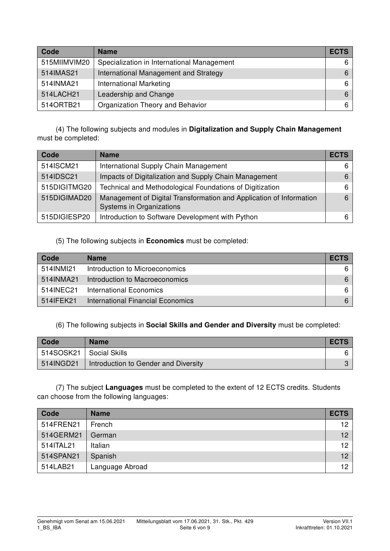| Code         | <b>Name</b>                                | <b>ECTS</b> |
|--------------|--------------------------------------------|-------------|
| 515MIIMVIM20 | Specialization in International Management | 61          |
| 514IMAS21    | International Management and Strategy      | 6           |
| 514INMA21    | <b>International Marketing</b>             | 6           |
| 514LACH21    | Leadership and Change                      | 6           |
| 5140RTB21    | Organization Theory and Behavior           | 6           |

(4) The following subjects and modules in Digitalization and Supply Chain Management must be completed:

| Code         | <b>Name</b>                                                                                     | <b>ECTS</b> |
|--------------|-------------------------------------------------------------------------------------------------|-------------|
| 514ISCM21    | International Supply Chain Management                                                           | 6           |
| 514IDSC21    | Impacts of Digitalization and Supply Chain Management                                           | 6           |
| 515DIGITMG20 | Technical and Methodological Foundations of Digitization                                        | 6.          |
| 515DIGIMAD20 | Management of Digital Transformation and Application of Information<br>Systems in Organizations | 6           |
| 515DIGIESP20 | Introduction to Software Development with Python                                                | 6           |

#### (5) The following subjects in Economics must be completed:

| Code       | <b>Name</b>                       | <b>ECTS</b> |
|------------|-----------------------------------|-------------|
| 514INMI21  | Introduction to Microeconomics    |             |
| 514INMA21  | Introduction to Macroeconomics    | 6.          |
| 514INEC21  | International Economics           |             |
| 514 FEK 21 | International Financial Economics |             |

#### (6) The following subjects in Social Skills and Gender and Diversity must be completed:

| Code      | <b>Name</b>                          | <b>ECTS</b> |
|-----------|--------------------------------------|-------------|
| 514SOSK21 | Social Skills                        |             |
| 514INGD21 | Introduction to Gender and Diversity |             |

(7) The subject Languages must be completed to the extent of 12 ECTS credits. Students can choose from the following languages:

| Code      | <b>Name</b>     | <b>ECTS</b> |
|-----------|-----------------|-------------|
| 514FREN21 | French          | 12          |
| 514GERM21 | German          | 12          |
| 514ITAL21 | Italian         | 12          |
| 514SPAN21 | Spanish         | 12          |
| 514LAB21  | Language Abroad | 12          |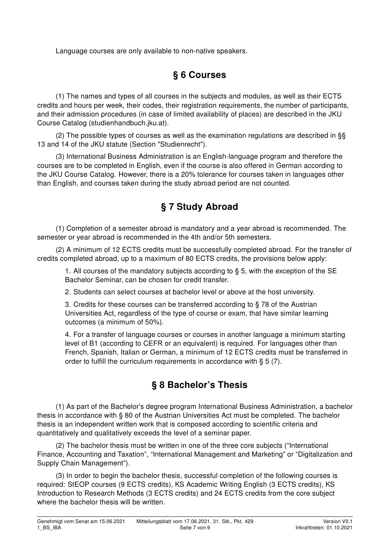Language courses are only available to non-native speakers.

### § 6 Courses

(1) The names and types of all courses in the subjects and modules, as well as their ECTS credits and hours per week, their codes, their registration requirements, the number of participants, and their admission procedures (in case of limited availability of places) are described in the JKU Course Catalog (studienhandbuch.jku.at).

(2) The possible types of courses as well as the examination regulations are described in §§ 13 and 14 of the JKU statute (Section "Studienrecht").

(3) International Business Administration is an English-language program and therefore the courses are to be completed in English, even if the course is also offered in German according to the JKU Course Catalog. However, there is a 20% tolerance for courses taken in languages other than English, and courses taken during the study abroad period are not counted.

## § 7 Study Abroad

(1) Completion of a semester abroad is mandatory and a year abroad is recommended. The semester or year abroad is recommended in the 4th and/or 5th semesters.

(2) A minimum of 12 ECTS credits must be successfully completed abroad. For the transfer of credits completed abroad, up to a maximum of 80 ECTS credits, the provisions below apply:

1. All courses of the mandatory subjects according to § 5, with the exception of the SE Bachelor Seminar, can be chosen for credit transfer.

2. Students can select courses at bachelor level or above at the host university.

3. Credits for these courses can be transferred according to § 78 of the Austrian Universities Act, regardless of the type of course or exam, that have similar learning outcomes (a minimum of 50%).

4. For a transfer of language courses or courses in another language a minimum starting level of B1 (according to CEFR or an equivalent) is required. For languages other than French, Spanish, Italian or German, a minimum of 12 ECTS credits must be transferred in order to fulfill the curriculum requirements in accordance with § 5 (7).

## § 8 Bachelor's Thesis

(1) As part of the Bachelor's degree program International Business Administration, a bachelor thesis in accordance with § 80 of the Austrian Universities Act must be completed. The bachelor thesis is an independent written work that is composed according to scientific criteria and quantitatively and qualitatively exceeds the level of a seminar paper.

(2) The bachelor thesis must be written in one of the three core subjects ("International Finance, Accounting and Taxation", "International Management and Marketing" or "Digitalization and Supply Chain Management").

(3) In order to begin the bachelor thesis, successful completion of the following courses is required: StEOP courses (9 ECTS credits), KS Academic Writing English (3 ECTS credits), KS Introduction to Research Methods (3 ECTS credits) and 24 ECTS credits from the core subject where the bachelor thesis will be written.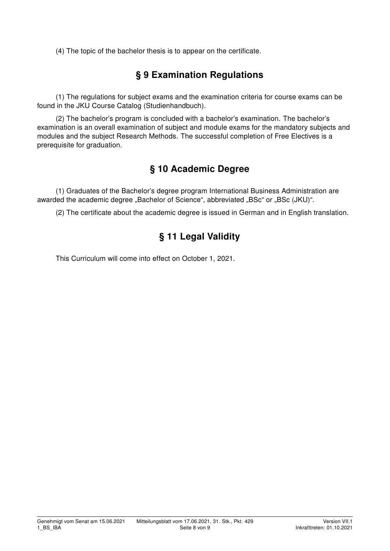(4) The topic of the bachelor thesis is to appear on the certificate.

## § 9 Examination Regulations

(1) The regulations for subject exams and the examination criteria for course exams can be found in the JKU Course Catalog (Studienhandbuch).

(2) The bachelor's program is concluded with a bachelor's examination. The bachelor's examination is an overall examination of subject and module exams for the mandatory subjects and modules and the subject Research Methods. The successful completion of Free Electives is a prerequisite for graduation.

## § 10 Academic Degree

(1) Graduates of the Bachelor's degree program International Business Administration are awarded the academic degree "Bachelor of Science", abbreviated "BSc" or "BSc (JKU)".

(2) The certificate about the academic degree is issued in German and in English translation.

## § 11 Legal Validity

This Curriculum will come into effect on October 1, 2021.